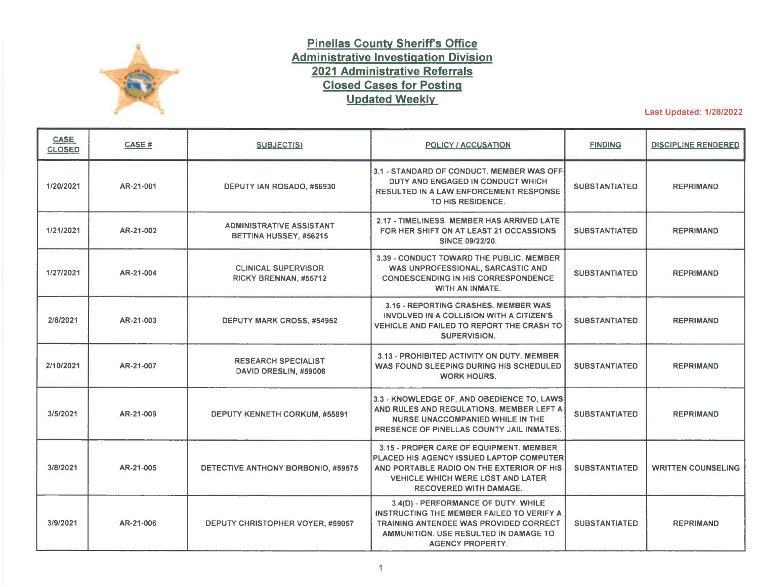

## **Pinellas County Sheriff's Office Administrative Investigation Division 2021 Administrative Referrals Closed Cases for Posting Updated Weekly**

Last Updated: 1/28/2022

| <b>CASE</b><br><b>CLOSED</b> | CASE#     | SUBJECT(S)                                                | POLICY / ACCUSATION                                                                                                                                                                                           | <b>FINDING</b>       | <b>DISCIPLINE RENDERED</b> |
|------------------------------|-----------|-----------------------------------------------------------|---------------------------------------------------------------------------------------------------------------------------------------------------------------------------------------------------------------|----------------------|----------------------------|
| 1/20/2021                    | AR-21-001 | DEPUTY IAN ROSADO, #56930                                 | 3.1 - STANDARD OF CONDUCT. MEMBER WAS OFF-<br>DUTY AND ENGAGED IN CONDUCT WHICH<br><b>RESULTED IN A LAW ENFORCEMENT RESPONSE</b><br>TO HIS RESIDENCE.                                                         | <b>SUBSTANTIATED</b> | <b>REPRIMAND</b>           |
| 1/21/2021                    | AR-21-002 | <b>ADMINISTRATIVE ASSISTANT</b><br>BETTINA HUSSEY, #56215 | 2.17 - TIMELINESS. MEMBER HAS ARRIVED LATE<br>FOR HER SHIFT ON AT LEAST 21 OCCASSIONS<br>SINCE 09/22/20.                                                                                                      | <b>SUBSTANTIATED</b> | <b>REPRIMAND</b>           |
| 1/27/2021                    | AR-21-004 | <b>CLINICAL SUPERVISOR</b><br>RICKY BRENNAN, #55712       | 3.39 - CONDUCT TOWARD THE PUBLIC. MEMBER<br>WAS UNPROFESSIONAL, SARCASTIC AND<br><b>CONDESCENDING IN HIS CORRESPONDENCE</b><br>WITH AN INMATE.                                                                | <b>SUBSTANTIATED</b> | <b>REPRIMAND</b>           |
| 2/8/2021                     | AR-21-003 | <b>DEPUTY MARK CROSS, #54952</b>                          | 3.16 - REPORTING CRASHES. MEMBER WAS<br>INVOLVED IN A COLLISION WITH A CITIZEN'S<br>VEHICLE AND FAILED TO REPORT THE CRASH TO<br><b>SUPERVISION.</b>                                                          | <b>SUBSTANTIATED</b> | <b>REPRIMAND</b>           |
| 2/10/2021                    | AR-21-007 | <b>RESEARCH SPECIALIST</b><br>DAVID DRESLIN, #59006       | 3.13 - PROHIBITED ACTIVITY ON DUTY, MEMBER<br>WAS FOUND SLEEPING DURING HIS SCHEDULED<br><b>WORK HOURS.</b>                                                                                                   | <b>SUBSTANTIATED</b> | <b>REPRIMAND</b>           |
| 3/5/2021                     | AR-21-009 | DEPUTY KENNETH CORKUM, #55891                             | 3.3 - KNOWLEDGE OF, AND OBEDIENCE TO, LAWS<br>AND RULES AND REGULATIONS. MEMBER LEFT A<br>NURSE UNACCOMPANIED WHILE IN THE<br>PRESENCE OF PINELLAS COUNTY JAIL INMATES.                                       | <b>SUBSTANTIATED</b> | <b>REPRIMAND</b>           |
| 3/8/2021                     | AR-21-005 | DETECTIVE ANTHONY BORBONIO, #59575                        | 3.15 - PROPER CARE OF EQUIPMENT. MEMBER<br>PLACED HIS AGENCY ISSUED LAPTOP COMPUTER<br>AND PORTABLE RADIO ON THE EXTERIOR OF HIS<br><b>VEHICLE WHICH WERE LOST AND LATER</b><br><b>RECOVERED WITH DAMAGE.</b> | <b>SUBSTANTIATED</b> | <b>WRITTEN COUNSELING</b>  |
| 3/9/2021                     | AR-21-006 | DEPUTY CHRISTOPHER VOYER, #59057                          | 3.4(D) - PERFORMANCE OF DUTY. WHILE<br>INSTRUCTING THE MEMBER FAILED TO VERIFY A<br><b>TRAINING ANTENDEE WAS PROVIDED CORRECT</b><br>AMMUNITION. USE RESULTED IN DAMAGE TO<br><b>AGENCY PROPERTY.</b>         | <b>SUBSTANTIATED</b> | <b>REPRIMAND</b>           |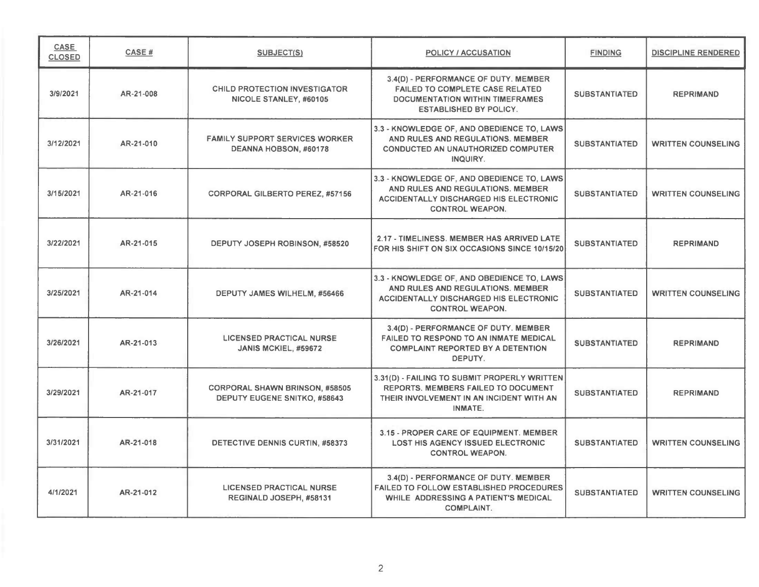| <b>CASE</b><br><b>CLOSED</b> | CASE#     | <b>SUBJECT(S)</b>                                                            | POLICY / ACCUSATION                                                                                                                                        | <b>FINDING</b>       | <b>DISCIPLINE RENDERED</b> |
|------------------------------|-----------|------------------------------------------------------------------------------|------------------------------------------------------------------------------------------------------------------------------------------------------------|----------------------|----------------------------|
| 3/9/2021                     | AR-21-008 | <b>CHILD PROTECTION INVESTIGATOR</b><br>NICOLE STANLEY, #60105               | 3.4(D) - PERFORMANCE OF DUTY. MEMBER<br><b>FAILED TO COMPLETE CASE RELATED</b><br><b>DOCUMENTATION WITHIN TIMEFRAMES</b><br><b>ESTABLISHED BY POLICY.</b>  | <b>SUBSTANTIATED</b> | <b>REPRIMAND</b>           |
| 3/12/2021                    | AR-21-010 | <b>FAMILY SUPPORT SERVICES WORKER</b><br>DEANNA HOBSON, #60178               | 3.3 - KNOWLEDGE OF, AND OBEDIENCE TO, LAWS<br>AND RULES AND REGULATIONS. MEMBER<br><b>CONDUCTED AN UNAUTHORIZED COMPUTER</b><br>INQUIRY.                   | <b>SUBSTANTIATED</b> | <b>WRITTEN COUNSELING</b>  |
| 3/15/2021                    | AR-21-016 | <b>CORPORAL GILBERTO PEREZ, #57156</b>                                       | 3.3 - KNOWLEDGE OF, AND OBEDIENCE TO, LAWS<br>AND RULES AND REGULATIONS, MEMBER<br><b>ACCIDENTALLY DISCHARGED HIS ELECTRONIC</b><br><b>CONTROL WEAPON.</b> | <b>SUBSTANTIATED</b> | <b>WRITTEN COUNSELING</b>  |
| 3/22/2021                    | AR-21-015 | DEPUTY JOSEPH ROBINSON, #58520                                               | 2.17 - TIMELINESS. MEMBER HAS ARRIVED LATE<br>FOR HIS SHIFT ON SIX OCCASIONS SINCE 10/15/20                                                                | <b>SUBSTANTIATED</b> | <b>REPRIMAND</b>           |
| 3/25/2021                    | AR-21-014 | DEPUTY JAMES WILHELM, #56466                                                 | 3.3 - KNOWLEDGE OF, AND OBEDIENCE TO, LAWS<br>AND RULES AND REGULATIONS. MEMBER<br>ACCIDENTALLY DISCHARGED HIS ELECTRONIC<br><b>CONTROL WEAPON.</b>        | <b>SUBSTANTIATED</b> | <b>WRITTEN COUNSELING</b>  |
| 3/26/2021                    | AR-21-013 | <b>LICENSED PRACTICAL NURSE</b><br>JANIS MCKIEL, #59672                      | 3.4(D) - PERFORMANCE OF DUTY. MEMBER<br>FAILED TO RESPOND TO AN INMATE MEDICAL<br><b>COMPLAINT REPORTED BY A DETENTION</b><br>DEPUTY.                      | <b>SUBSTANTIATED</b> | <b>REPRIMAND</b>           |
| 3/29/2021                    | AR-21-017 | <b>CORPORAL SHAWN BRINSON, #58505</b><br><b>DEPUTY EUGENE SNITKO, #58643</b> | 3.31(D) - FAILING TO SUBMIT PROPERLY WRITTEN<br><b>REPORTS. MEMBERS FAILED TO DOCUMENT</b><br>THEIR INVOLVEMENT IN AN INCIDENT WITH AN<br><b>INMATE.</b>   | <b>SUBSTANTIATED</b> | <b>REPRIMAND</b>           |
| 3/31/2021                    | AR-21-018 | DETECTIVE DENNIS CURTIN, #58373                                              | 3.15 - PROPER CARE OF EQUIPMENT. MEMBER<br><b>LOST HIS AGENCY ISSUED ELECTRONIC</b><br><b>CONTROL WEAPON.</b>                                              | <b>SUBSTANTIATED</b> | <b>WRITTEN COUNSELING</b>  |
| 4/1/2021                     | AR-21-012 | <b>LICENSED PRACTICAL NURSE</b><br>REGINALD JOSEPH, #58131                   | 3.4(D) - PERFORMANCE OF DUTY. MEMBER<br><b>FAILED TO FOLLOW ESTABLISHED PROCEDURES</b><br>WHILE ADDRESSING A PATIENT'S MEDICAL<br><b>COMPLAINT.</b>        | <b>SUBSTANTIATED</b> | <b>WRITTEN COUNSELING</b>  |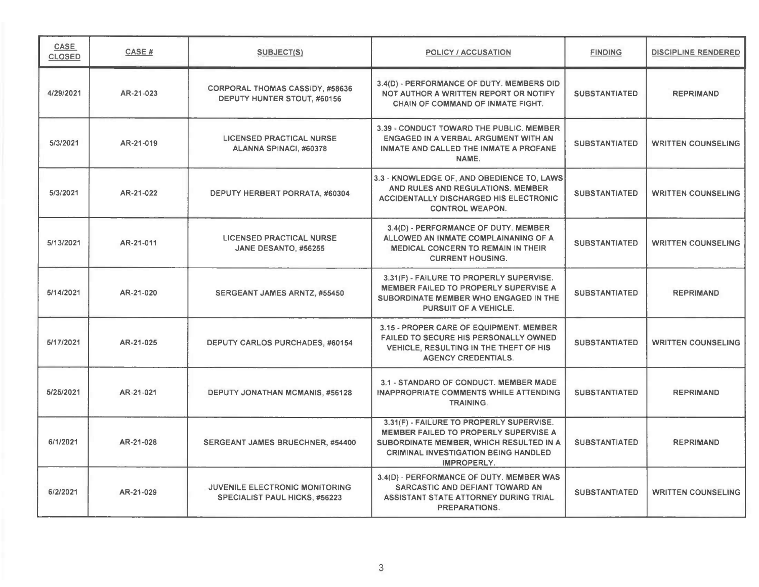| CASE<br><b>CLOSED</b> | CASE#     | <b>SUBJECT(S)</b>                                                     | POLICY / ACCUSATION                                                                                                                                                                        | <b>FINDING</b>       | <b>DISCIPLINE RENDERED</b> |
|-----------------------|-----------|-----------------------------------------------------------------------|--------------------------------------------------------------------------------------------------------------------------------------------------------------------------------------------|----------------------|----------------------------|
| 4/29/2021             | AR-21-023 | <b>CORPORAL THOMAS CASSIDY, #58636</b><br>DEPUTY HUNTER STOUT, #60156 | 3.4(D) - PERFORMANCE OF DUTY. MEMBERS DID<br>NOT AUTHOR A WRITTEN REPORT OR NOTIFY<br>CHAIN OF COMMAND OF INMATE FIGHT.                                                                    | <b>SUBSTANTIATED</b> | <b>REPRIMAND</b>           |
| 5/3/2021              | AR-21-019 | <b>LICENSED PRACTICAL NURSE</b><br>ALANNA SPINACI, #60378             | 3.39 - CONDUCT TOWARD THE PUBLIC. MEMBER<br>ENGAGED IN A VERBAL ARGUMENT WITH AN<br>INMATE AND CALLED THE INMATE A PROFANE<br>NAME.                                                        | <b>SUBSTANTIATED</b> | <b>WRITTEN COUNSELING</b>  |
| 5/3/2021              | AR-21-022 | DEPUTY HERBERT PORRATA, #60304                                        | 3.3 - KNOWLEDGE OF, AND OBEDIENCE TO, LAWS<br>AND RULES AND REGULATIONS. MEMBER<br><b>ACCIDENTALLY DISCHARGED HIS ELECTRONIC</b><br><b>CONTROL WEAPON.</b>                                 | <b>SUBSTANTIATED</b> | <b>WRITTEN COUNSELING</b>  |
| 5/13/2021             | AR-21-011 | <b>LICENSED PRACTICAL NURSE</b><br>JANE DESANTO, #56255               | 3.4(D) - PERFORMANCE OF DUTY. MEMBER<br>ALLOWED AN INMATE COMPLAINANING OF A<br><b>MEDICAL CONCERN TO REMAIN IN THEIR</b><br><b>CURRENT HOUSING.</b>                                       | <b>SUBSTANTIATED</b> | <b>WRITTEN COUNSELING</b>  |
| 5/14/2021             | AR-21-020 | SERGEANT JAMES ARNTZ, #55450                                          | 3.31(F) - FAILURE TO PROPERLY SUPERVISE.<br><b>MEMBER FAILED TO PROPERLY SUPERVISE A</b><br>SUBORDINATE MEMBER WHO ENGAGED IN THE<br><b>PURSUIT OF A VEHICLE.</b>                          | <b>SUBSTANTIATED</b> | <b>REPRIMAND</b>           |
| 5/17/2021             | AR-21-025 | DEPUTY CARLOS PURCHADES, #60154                                       | 3.15 - PROPER CARE OF EQUIPMENT. MEMBER<br><b>FAILED TO SECURE HIS PERSONALLY OWNED</b><br>VEHICLE, RESULTING IN THE THEFT OF HIS<br><b>AGENCY CREDENTIALS.</b>                            | <b>SUBSTANTIATED</b> | <b>WRITTEN COUNSELING</b>  |
| 5/25/2021             | AR-21-021 | <b>DEPUTY JONATHAN MCMANIS, #56128</b>                                | 3.1 - STANDARD OF CONDUCT. MEMBER MADE<br>INAPPROPRIATE COMMENTS WHILE ATTENDING<br><b>TRAINING.</b>                                                                                       | <b>SUBSTANTIATED</b> | <b>REPRIMAND</b>           |
| 6/1/2021              | AR-21-028 | SERGEANT JAMES BRUECHNER, #54400                                      | 3.31(F) - FAILURE TO PROPERLY SUPERVISE.<br>MEMBER FAILED TO PROPERLY SUPERVISE A<br>SUBORDINATE MEMBER, WHICH RESULTED IN A<br><b>CRIMINAL INVESTIGATION BEING HANDLED</b><br>IMPROPERLY. | <b>SUBSTANTIATED</b> | <b>REPRIMAND</b>           |
| 6/2/2021              | AR-21-029 | JUVENILE ELECTRONIC MONITORING<br>SPECIALIST PAUL HICKS, #56223       | 3.4(D) - PERFORMANCE OF DUTY. MEMBER WAS<br>SARCASTIC AND DEFIANT TOWARD AN<br>ASSISTANT STATE ATTORNEY DURING TRIAL<br><b>PREPARATIONS.</b>                                               | <b>SUBSTANTIATED</b> | <b>WRITTEN COUNSELING</b>  |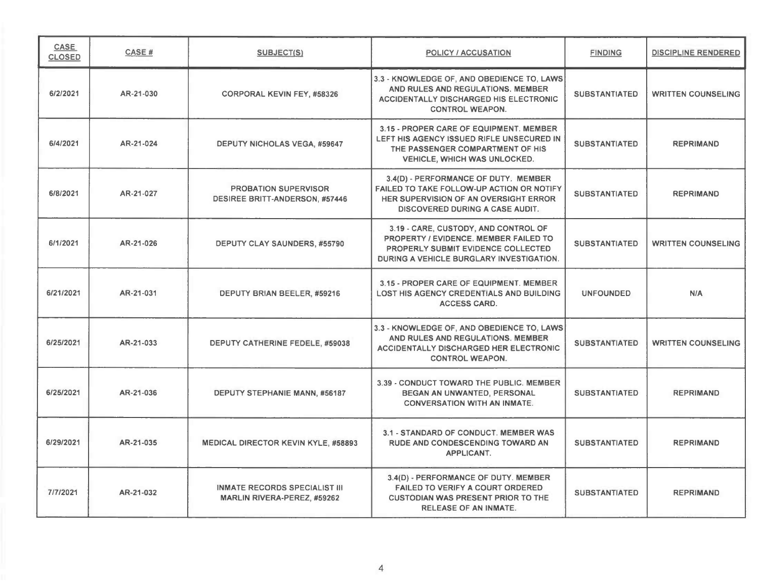| <b>CASE</b><br><b>CLOSED</b> | <b>CASE#</b> | <b>SUBJECT(S)</b>                                                          | POLICY / ACCUSATION                                                                                                                                                  | <b>FINDING</b>       | <b>DISCIPLINE RENDERED</b> |
|------------------------------|--------------|----------------------------------------------------------------------------|----------------------------------------------------------------------------------------------------------------------------------------------------------------------|----------------------|----------------------------|
| 6/2/2021                     | AR-21-030    | <b>CORPORAL KEVIN FEY, #58326</b>                                          | 3.3 - KNOWLEDGE OF, AND OBEDIENCE TO, LAWS<br>AND RULES AND REGULATIONS. MEMBER<br>ACCIDENTALLY DISCHARGED HIS ELECTRONIC<br><b>CONTROL WEAPON.</b>                  | <b>SUBSTANTIATED</b> | <b>WRITTEN COUNSELING</b>  |
| 6/4/2021                     | AR-21-024    | <b>DEPUTY NICHOLAS VEGA, #59647</b>                                        | 3.15 - PROPER CARE OF EQUIPMENT. MEMBER<br>LEFT HIS AGENCY ISSUED RIFLE UNSECURED IN<br>THE PASSENGER COMPARTMENT OF HIS<br>VEHICLE, WHICH WAS UNLOCKED.             | <b>SUBSTANTIATED</b> | <b>REPRIMAND</b>           |
| 6/8/2021                     | AR-21-027    | <b>PROBATION SUPERVISOR</b><br><b>DESIREE BRITT-ANDERSON, #57446</b>       | 3.4(D) - PERFORMANCE OF DUTY. MEMBER<br>FAILED TO TAKE FOLLOW-UP ACTION OR NOTIFY<br>HER SUPERVISION OF AN OVERSIGHT ERROR<br><b>DISCOVERED DURING A CASE AUDIT.</b> | <b>SUBSTANTIATED</b> | <b>REPRIMAND</b>           |
| 6/1/2021                     | AR-21-026    | DEPUTY CLAY SAUNDERS, #55790                                               | 3.19 - CARE, CUSTODY, AND CONTROL OF<br>PROPERTY / EVIDENCE, MEMBER FAILED TO<br>PROPERLY SUBMIT EVIDENCE COLLECTED<br>DURING A VEHICLE BURGLARY INVESTIGATION.      | <b>SUBSTANTIATED</b> | <b>WRITTEN COUNSELING</b>  |
| 6/21/2021                    | AR-21-031    | DEPUTY BRIAN BEELER, #59216                                                | 3.15 - PROPER CARE OF EQUIPMENT. MEMBER<br>LOST HIS AGENCY CREDENTIALS AND BUILDING<br><b>ACCESS CARD.</b>                                                           | <b>UNFOUNDED</b>     | N/A                        |
| 6/25/2021                    | AR-21-033    | DEPUTY CATHERINE FEDELE, #59038                                            | 3.3 - KNOWLEDGE OF, AND OBEDIENCE TO, LAWS<br>AND RULES AND REGULATIONS. MEMBER<br><b>ACCIDENTALLY DISCHARGED HER ELECTRONIC</b><br><b>CONTROL WEAPON.</b>           | <b>SUBSTANTIATED</b> | <b>WRITTEN COUNSELING</b>  |
| 6/25/2021                    | AR-21-036    | DEPUTY STEPHANIE MANN, #56187                                              | 3.39 - CONDUCT TOWARD THE PUBLIC. MEMBER<br>BEGAN AN UNWANTED, PERSONAL<br><b>CONVERSATION WITH AN INMATE.</b>                                                       | <b>SUBSTANTIATED</b> | <b>REPRIMAND</b>           |
| 6/29/2021                    | AR-21-035    | <b>MEDICAL DIRECTOR KEVIN KYLE, #58893</b>                                 | 3.1 - STANDARD OF CONDUCT. MEMBER WAS<br>RUDE AND CONDESCENDING TOWARD AN<br>APPLICANT.                                                                              | <b>SUBSTANTIATED</b> | <b>REPRIMAND</b>           |
| 7/7/2021                     | AR-21-032    | <b>INMATE RECORDS SPECIALIST III</b><br><b>MARLIN RIVERA-PEREZ, #59262</b> | 3.4(D) - PERFORMANCE OF DUTY. MEMBER<br><b>FAILED TO VERIFY A COURT ORDERED</b><br><b>CUSTODIAN WAS PRESENT PRIOR TO THE</b><br><b>RELEASE OF AN INMATE.</b>         | <b>SUBSTANTIATED</b> | <b>REPRIMAND</b>           |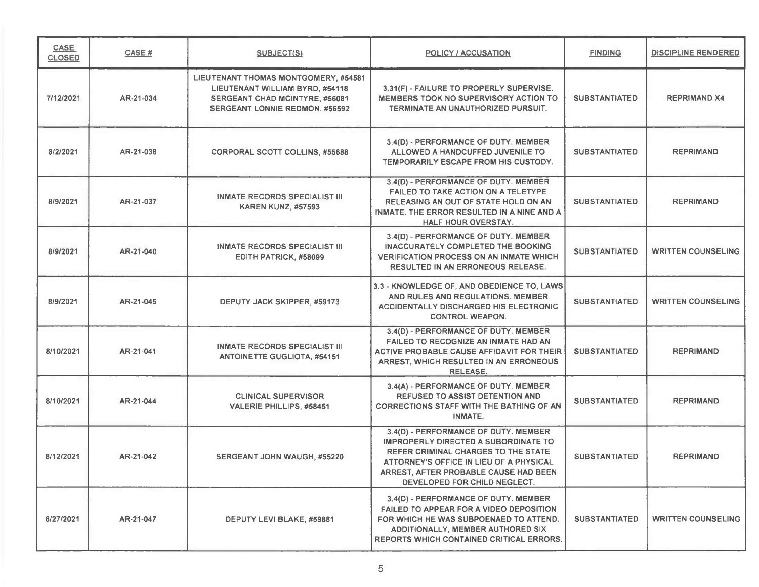| CASE<br><b>CLOSED</b> | CASE#     | SUBJECT(S)                                                                                                                                  | <b>POLICY / ACCUSATION</b>                                                                                                                                                                                                                     | <b>FINDING</b>       | <b>DISCIPLINE RENDERED</b> |
|-----------------------|-----------|---------------------------------------------------------------------------------------------------------------------------------------------|------------------------------------------------------------------------------------------------------------------------------------------------------------------------------------------------------------------------------------------------|----------------------|----------------------------|
| 7/12/2021             | AR-21-034 | LIEUTENANT THOMAS MONTGOMERY, #54581<br>LIEUTENANT WILLIAM BYRD, #54118<br>SERGEANT CHAD MCINTYRE, #56081<br>SERGEANT LONNIE REDMON, #56592 | 3.31(F) - FAILURE TO PROPERLY SUPERVISE.<br><b>MEMBERS TOOK NO SUPERVISORY ACTION TO</b><br>TERMINATE AN UNAUTHORIZED PURSUIT.                                                                                                                 | <b>SUBSTANTIATED</b> | <b>REPRIMAND X4</b>        |
| 8/2/2021              | AR-21-038 | <b>CORPORAL SCOTT COLLINS, #55688</b>                                                                                                       | 3.4(D) - PERFORMANCE OF DUTY. MEMBER<br>ALLOWED A HANDCUFFED JUVENILE TO<br>TEMPORARILY ESCAPE FROM HIS CUSTODY.                                                                                                                               | <b>SUBSTANTIATED</b> | <b>REPRIMAND</b>           |
| 8/9/2021              | AR-21-037 | <b>INMATE RECORDS SPECIALIST III</b><br><b>KAREN KUNZ, #57593</b>                                                                           | 3.4(D) - PERFORMANCE OF DUTY. MEMBER<br>FAILED TO TAKE ACTION ON A TELETYPE<br>RELEASING AN OUT OF STATE HOLD ON AN<br>INMATE. THE ERROR RESULTED IN A NINE AND A<br>HALF HOUR OVERSTAY.                                                       | <b>SUBSTANTIATED</b> | <b>REPRIMAND</b>           |
| 8/9/2021              | AR-21-040 | <b>INMATE RECORDS SPECIALIST III</b><br>EDITH PATRICK, #58099                                                                               | 3.4(D) - PERFORMANCE OF DUTY. MEMBER<br><b>INACCURATELY COMPLETED THE BOOKING</b><br><b>VERIFICATION PROCESS ON AN INMATE WHICH</b><br><b>RESULTED IN AN ERRONEOUS RELEASE.</b>                                                                | <b>SUBSTANTIATED</b> | <b>WRITTEN COUNSELING</b>  |
| 8/9/2021              | AR-21-045 | DEPUTY JACK SKIPPER, #59173                                                                                                                 | 3.3 - KNOWLEDGE OF, AND OBEDIENCE TO, LAWS<br>AND RULES AND REGULATIONS. MEMBER<br><b>ACCIDENTALLY DISCHARGED HIS ELECTRONIC</b><br><b>CONTROL WEAPON.</b>                                                                                     | <b>SUBSTANTIATED</b> | <b>WRITTEN COUNSELING</b>  |
| 8/10/2021             | AR-21-041 | <b>INMATE RECORDS SPECIALIST III</b><br><b>ANTOINETTE GUGLIOTA, #54151</b>                                                                  | 3.4(D) - PERFORMANCE OF DUTY. MEMBER<br><b>FAILED TO RECOGNIZE AN INMATE HAD AN</b><br>ACTIVE PROBABLE CAUSE AFFIDAVIT FOR THEIR<br>ARREST, WHICH RESULTED IN AN ERRONEOUS<br><b>RELEASE.</b>                                                  | <b>SUBSTANTIATED</b> | <b>REPRIMAND</b>           |
| 8/10/2021             | AR-21-044 | <b>CLINICAL SUPERVISOR</b><br>VALERIE PHILLIPS, #58451                                                                                      | 3.4(A) - PERFORMANCE OF DUTY. MEMBER<br><b>REFUSED TO ASSIST DETENTION AND</b><br><b>CORRECTIONS STAFF WITH THE BATHING OF AN</b><br><b>INMATE.</b>                                                                                            | <b>SUBSTANTIATED</b> | <b>REPRIMAND</b>           |
| 8/12/2021             | AR-21-042 | <b>SERGEANT JOHN WAUGH, #55220</b>                                                                                                          | 3.4(D) - PERFORMANCE OF DUTY. MEMBER<br>IMPROPERLY DIRECTED A SUBORDINATE TO<br><b>REFER CRIMINAL CHARGES TO THE STATE</b><br>ATTORNEY'S OFFICE IN LIEU OF A PHYSICAL<br>ARREST, AFTER PROBABLE CAUSE HAD BEEN<br>DEVELOPED FOR CHILD NEGLECT. | <b>SUBSTANTIATED</b> | <b>REPRIMAND</b>           |
| 8/27/2021             | AR-21-047 | DEPUTY LEVI BLAKE, #59881                                                                                                                   | 3.4(D) - PERFORMANCE OF DUTY. MEMBER<br>FAILED TO APPEAR FOR A VIDEO DEPOSITION<br>FOR WHICH HE WAS SUBPOENAED TO ATTEND.<br>ADDITIONALLY, MEMBER AUTHORED SIX<br><b>REPORTS WHICH CONTAINED CRITICAL ERRORS.</b>                              | <b>SUBSTANTIATED</b> | <b>WRITTEN COUNSELING</b>  |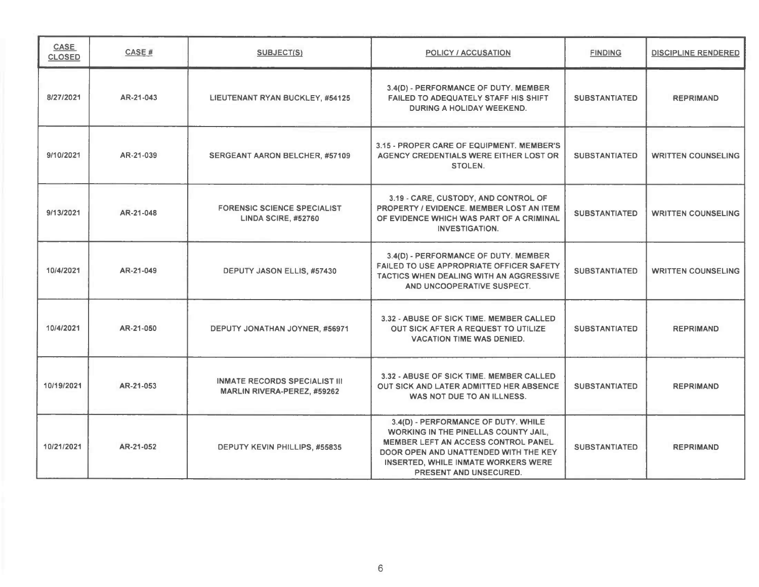| <b>CASE</b><br><b>CLOSED</b> | CASE#     | SUBJECT(S)                                                                 | POLICY / ACCUSATION                                                                                                                                                                                                                 | <b>FINDING</b>       | <b>DISCIPLINE RENDERED</b> |
|------------------------------|-----------|----------------------------------------------------------------------------|-------------------------------------------------------------------------------------------------------------------------------------------------------------------------------------------------------------------------------------|----------------------|----------------------------|
| 8/27/2021                    | AR-21-043 | <b>LIEUTENANT RYAN BUCKLEY, #54125</b>                                     | 3.4(D) - PERFORMANCE OF DUTY. MEMBER<br><b>FAILED TO ADEQUATELY STAFF HIS SHIFT</b><br>DURING A HOLIDAY WEEKEND.                                                                                                                    | <b>SUBSTANTIATED</b> | <b>REPRIMAND</b>           |
| 9/10/2021                    | AR-21-039 | <b>SERGEANT AARON BELCHER, #57109</b>                                      | 3.15 - PROPER CARE OF EQUIPMENT. MEMBER'S<br>AGENCY CREDENTIALS WERE EITHER LOST OR<br>STOLEN.                                                                                                                                      | <b>SUBSTANTIATED</b> | <b>WRITTEN COUNSELING</b>  |
| 9/13/2021                    | AR-21-048 | <b>FORENSIC SCIENCE SPECIALIST</b><br>LINDA SCIRE, #52760                  | 3.19 - CARE, CUSTODY, AND CONTROL OF<br>PROPERTY / EVIDENCE. MEMBER LOST AN ITEM<br>OF EVIDENCE WHICH WAS PART OF A CRIMINAL<br><b>INVESTIGATION.</b>                                                                               | <b>SUBSTANTIATED</b> | <b>WRITTEN COUNSELING</b>  |
| 10/4/2021                    | AR-21-049 | DEPUTY JASON ELLIS, #57430                                                 | 3.4(D) - PERFORMANCE OF DUTY. MEMBER<br>FAILED TO USE APPROPRIATE OFFICER SAFETY<br>TACTICS WHEN DEALING WITH AN AGGRESSIVE<br>AND UNCOOPERATIVE SUSPECT.                                                                           | <b>SUBSTANTIATED</b> | <b>WRITTEN COUNSELING</b>  |
| 10/4/2021                    | AR-21-050 | DEPUTY JONATHAN JOYNER, #56971                                             | 3.32 - ABUSE OF SICK TIME. MEMBER CALLED<br><b>OUT SICK AFTER A REQUEST TO UTILIZE</b><br><b>VACATION TIME WAS DENIED.</b>                                                                                                          | <b>SUBSTANTIATED</b> | <b>REPRIMAND</b>           |
| 10/19/2021                   | AR-21-053 | <b>INMATE RECORDS SPECIALIST III</b><br><b>MARLIN RIVERA-PEREZ, #59262</b> | 3.32 - ABUSE OF SICK TIME. MEMBER CALLED<br>OUT SICK AND LATER ADMITTED HER ABSENCE<br>WAS NOT DUE TO AN ILLNESS.                                                                                                                   | <b>SUBSTANTIATED</b> | <b>REPRIMAND</b>           |
| 10/21/2021                   | AR-21-052 | DEPUTY KEVIN PHILLIPS, #55835                                              | 3.4(D) - PERFORMANCE OF DUTY. WHILE<br>WORKING IN THE PINELLAS COUNTY JAIL.<br>MEMBER LEFT AN ACCESS CONTROL PANEL<br>DOOR OPEN AND UNATTENDED WITH THE KEY<br>INSERTED, WHILE INMATE WORKERS WERE<br><b>PRESENT AND UNSECURED.</b> | <b>SUBSTANTIATED</b> | <b>REPRIMAND</b>           |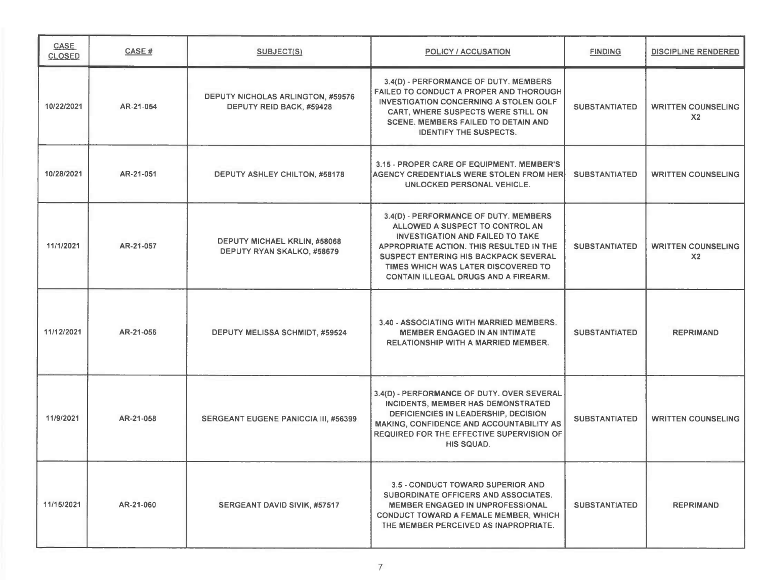| CASE<br><b>CLOSED</b> | CASE#     | <b>SUBJECT(S)</b>                                                    | <b>POLICY / ACCUSATION</b>                                                                                                                                                                                                                                                                            | <b>FINDING</b>       | <b>DISCIPLINE RENDERED</b>                  |
|-----------------------|-----------|----------------------------------------------------------------------|-------------------------------------------------------------------------------------------------------------------------------------------------------------------------------------------------------------------------------------------------------------------------------------------------------|----------------------|---------------------------------------------|
| 10/22/2021            | AR-21-054 | <b>DEPUTY NICHOLAS ARLINGTON, #59576</b><br>DEPUTY REID BACK, #59428 | 3.4(D) - PERFORMANCE OF DUTY. MEMBERS<br><b>FAILED TO CONDUCT A PROPER AND THOROUGH</b><br><b>INVESTIGATION CONCERNING A STOLEN GOLF</b><br>CART, WHERE SUSPECTS WERE STILL ON<br><b>SCENE. MEMBERS FAILED TO DETAIN AND</b><br><b>IDENTIFY THE SUSPECTS.</b>                                         | <b>SUBSTANTIATED</b> | <b>WRITTEN COUNSELING</b><br>X <sub>2</sub> |
| 10/28/2021            | AR-21-051 | DEPUTY ASHLEY CHILTON, #58178                                        | 3.15 - PROPER CARE OF EQUIPMENT. MEMBER'S<br><b>AGENCY CREDENTIALS WERE STOLEN FROM HERI</b><br>UNLOCKED PERSONAL VEHICLE.                                                                                                                                                                            | <b>SUBSTANTIATED</b> | <b>WRITTEN COUNSELING</b>                   |
| 11/1/2021             | AR-21-057 | DEPUTY MICHAEL KRLIN, #58068<br>DEPUTY RYAN SKALKO, #58679           | 3.4(D) - PERFORMANCE OF DUTY. MEMBERS<br>ALLOWED A SUSPECT TO CONTROL AN<br><b>INVESTIGATION AND FAILED TO TAKE</b><br>APPROPRIATE ACTION. THIS RESULTED IN THE<br><b>SUSPECT ENTERING HIS BACKPACK SEVERAL</b><br>TIMES WHICH WAS LATER DISCOVERED TO<br><b>CONTAIN ILLEGAL DRUGS AND A FIREARM.</b> | <b>SUBSTANTIATED</b> | <b>WRITTEN COUNSELING</b><br>X <sub>2</sub> |
| 11/12/2021            | AR-21-056 | DEPUTY MELISSA SCHMIDT, #59524                                       | 3.40 - ASSOCIATING WITH MARRIED MEMBERS.<br><b>MEMBER ENGAGED IN AN INTIMATE</b><br><b>RELATIONSHIP WITH A MARRIED MEMBER.</b>                                                                                                                                                                        | <b>SUBSTANTIATED</b> | <b>REPRIMAND</b>                            |
| 11/9/2021             | AR-21-058 | <b>SERGEANT EUGENE PANICCIA III, #56399</b>                          | 3.4(D) - PERFORMANCE OF DUTY. OVER SEVERAL<br>INCIDENTS, MEMBER HAS DEMONSTRATED<br>DEFICIENCIES IN LEADERSHIP, DECISION<br>MAKING, CONFIDENCE AND ACCOUNTABILITY AS<br>REQUIRED FOR THE EFFECTIVE SUPERVISION OF<br>HIS SQUAD.                                                                       | <b>SUBSTANTIATED</b> | <b>WRITTEN COUNSELING</b>                   |
| 11/15/2021            | AR-21-060 | SERGEANT DAVID SIVIK, #57517                                         | 3.5 - CONDUCT TOWARD SUPERIOR AND<br>SUBORDINATE OFFICERS AND ASSOCIATES.<br><b>MEMBER ENGAGED IN UNPROFESSIONAL</b><br><b>CONDUCT TOWARD A FEMALE MEMBER, WHICH</b><br>THE MEMBER PERCEIVED AS INAPROPRIATE.                                                                                         | <b>SUBSTANTIATED</b> | <b>REPRIMAND</b>                            |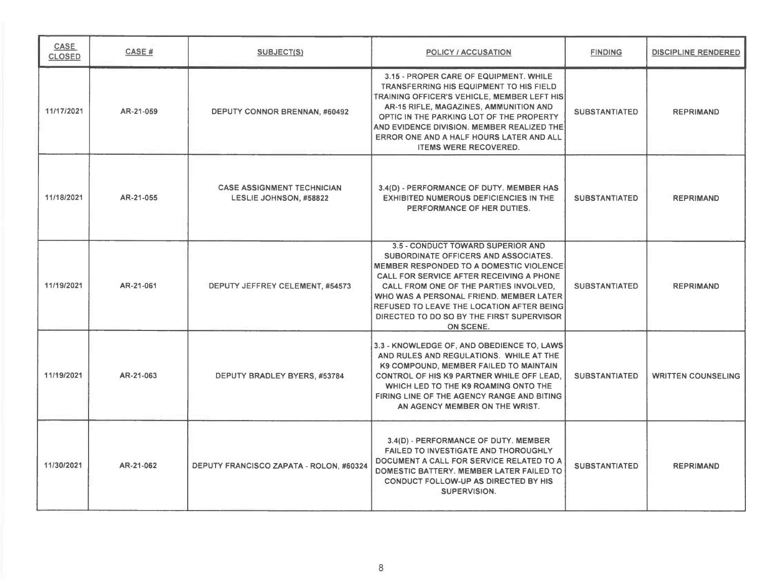| <b>CASE</b><br><b>CLOSED</b> | CASE#     | <b>SUBJECT(S)</b>                                           | <b>POLICY / ACCUSATION</b>                                                                                                                                                                                                                                                                                                                                                 | <b>FINDING</b>       | <b>DISCIPLINE RENDERED</b> |
|------------------------------|-----------|-------------------------------------------------------------|----------------------------------------------------------------------------------------------------------------------------------------------------------------------------------------------------------------------------------------------------------------------------------------------------------------------------------------------------------------------------|----------------------|----------------------------|
| 11/17/2021                   | AR-21-059 | <b>DEPUTY CONNOR BRENNAN, #60492</b>                        | 3.15 - PROPER CARE OF EQUIPMENT. WHILE<br><b>TRANSFERRING HIS EQUIPMENT TO HIS FIELD</b><br>TRAINING OFFICER'S VEHICLE, MEMBER LEFT HIS<br>AR-15 RIFLE, MAGAZINES, AMMUNITION AND<br>OPTIC IN THE PARKING LOT OF THE PROPERTY<br>AND EVIDENCE DIVISION. MEMBER REALIZED THE<br>ERROR ONE AND A HALF HOURS LATER AND ALL<br><b>ITEMS WERE RECOVERED.</b>                    | <b>SUBSTANTIATED</b> | <b>REPRIMAND</b>           |
| 11/18/2021                   | AR-21-055 | <b>CASE ASSIGNMENT TECHNICIAN</b><br>LESLIE JOHNSON, #58822 | 3.4(D) - PERFORMANCE OF DUTY. MEMBER HAS<br><b>EXHIBITED NUMEROUS DEFICIENCIES IN THE</b><br>PERFORMANCE OF HER DUTIES.                                                                                                                                                                                                                                                    | <b>SUBSTANTIATED</b> | <b>REPRIMAND</b>           |
| 11/19/2021                   | AR-21-061 | DEPUTY JEFFREY CELEMENT, #54573                             | 3.5 - CONDUCT TOWARD SUPERIOR AND<br>SUBORDINATE OFFICERS AND ASSOCIATES.<br><b>MEMBER RESPONDED TO A DOMESTIC VIOLENCE</b><br>CALL FOR SERVICE AFTER RECEIVING A PHONE<br>CALL FROM ONE OF THE PARTIES INVOLVED.<br>WHO WAS A PERSONAL FRIEND. MEMBER LATER<br><b>REFUSED TO LEAVE THE LOCATION AFTER BEING</b><br>DIRECTED TO DO SO BY THE FIRST SUPERVISOR<br>ON SCENE. | <b>SUBSTANTIATED</b> | <b>REPRIMAND</b>           |
| 11/19/2021                   | AR-21-063 | DEPUTY BRADLEY BYERS, #53784                                | 3.3 - KNOWLEDGE OF, AND OBEDIENCE TO, LAWS<br>AND RULES AND REGULATIONS. WHILE AT THE<br>K9 COMPOUND, MEMBER FAILED TO MAINTAIN<br><b>CONTROL OF HIS K9 PARTNER WHILE OFF LEAD.</b><br>WHICH LED TO THE K9 ROAMING ONTO THE<br>FIRING LINE OF THE AGENCY RANGE AND BITING<br>AN AGENCY MEMBER ON THE WRIST.                                                                | <b>SUBSTANTIATED</b> | <b>WRITTEN COUNSELING</b>  |
| 11/30/2021                   | AR-21-062 | DEPUTY FRANCISCO ZAPATA - ROLON, #60324                     | 3.4(D) - PERFORMANCE OF DUTY. MEMBER<br><b>FAILED TO INVESTIGATE AND THOROUGHLY</b><br>DOCUMENT A CALL FOR SERVICE RELATED TO A<br>DOMESTIC BATTERY. MEMBER LATER FAILED TO<br>CONDUCT FOLLOW-UP AS DIRECTED BY HIS<br><b>SUPERVISION.</b>                                                                                                                                 | <b>SUBSTANTIATED</b> | <b>REPRIMAND</b>           |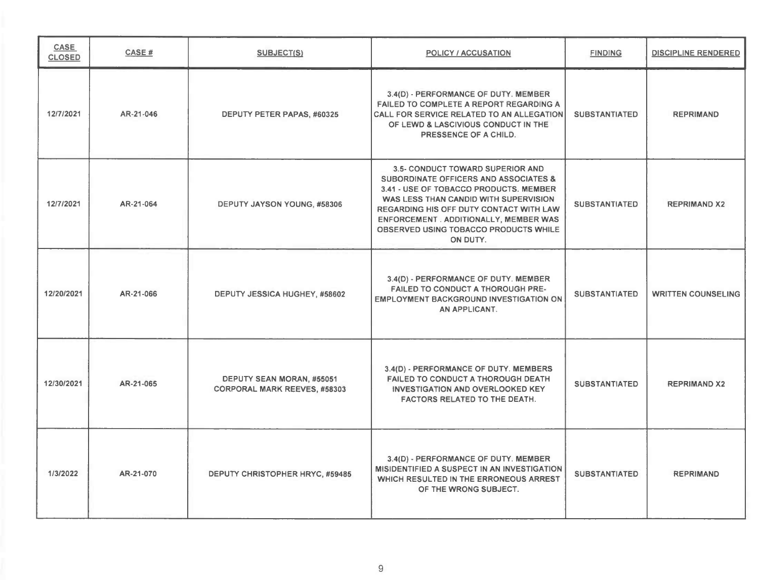| <b>CASE</b><br><b>CLOSED</b> | <b>CASE#</b> | <b>SUBJECT(S)</b>                                                | <b>POLICY / ACCUSATION</b>                                                                                                                                                                                                                                                                                               | <b>FINDING</b>       | <b>DISCIPLINE RENDERED</b> |
|------------------------------|--------------|------------------------------------------------------------------|--------------------------------------------------------------------------------------------------------------------------------------------------------------------------------------------------------------------------------------------------------------------------------------------------------------------------|----------------------|----------------------------|
| 12/7/2021                    | AR-21-046    | DEPUTY PETER PAPAS, #60325                                       | 3.4(D) - PERFORMANCE OF DUTY. MEMBER<br><b>FAILED TO COMPLETE A REPORT REGARDING A</b><br>CALL FOR SERVICE RELATED TO AN ALLEGATION<br>OF LEWD & LASCIVIOUS CONDUCT IN THE<br>PRESSENCE OF A CHILD.                                                                                                                      | <b>SUBSTANTIATED</b> | <b>REPRIMAND</b>           |
| 12/7/2021                    | AR-21-064    | DEPUTY JAYSON YOUNG, #58306                                      | 3.5- CONDUCT TOWARD SUPERIOR AND<br><b>SUBORDINATE OFFICERS AND ASSOCIATES &amp;</b><br>3.41 - USE OF TOBACCO PRODUCTS. MEMBER<br>WAS LESS THAN CANDID WITH SUPERVISION<br>REGARDING HIS OFF DUTY CONTACT WITH LAW<br><b>ENFORCEMENT . ADDITIONALLY, MEMBER WAS</b><br>OBSERVED USING TOBACCO PRODUCTS WHILE<br>ON DUTY. | <b>SUBSTANTIATED</b> | <b>REPRIMAND X2</b>        |
| 12/20/2021                   | AR-21-066    | DEPUTY JESSICA HUGHEY, #58602                                    | 3.4(D) - PERFORMANCE OF DUTY. MEMBER<br><b>FAILED TO CONDUCT A THOROUGH PRE-</b><br><b>EMPLOYMENT BACKGROUND INVESTIGATION ON</b><br>AN APPLICANT.                                                                                                                                                                       | <b>SUBSTANTIATED</b> | <b>WRITTEN COUNSELING</b>  |
| 12/30/2021                   | AR-21-065    | DEPUTY SEAN MORAN, #55051<br><b>CORPORAL MARK REEVES, #58303</b> | 3.4(D) - PERFORMANCE OF DUTY. MEMBERS<br><b>FAILED TO CONDUCT A THOROUGH DEATH</b><br><b>INVESTIGATION AND OVERLOOKED KEY</b><br>FACTORS RELATED TO THE DEATH.                                                                                                                                                           | <b>SUBSTANTIATED</b> | <b>REPRIMAND X2</b>        |
| 1/3/2022                     | AR-21-070    | DEPUTY CHRISTOPHER HRYC, #59485                                  | 3.4(D) - PERFORMANCE OF DUTY. MEMBER<br>MISIDENTIFIED A SUSPECT IN AN INVESTIGATION<br>WHICH RESULTED IN THE ERRONEOUS ARREST<br>OF THE WRONG SUBJECT.                                                                                                                                                                   | <b>SUBSTANTIATED</b> | <b>REPRIMAND</b>           |